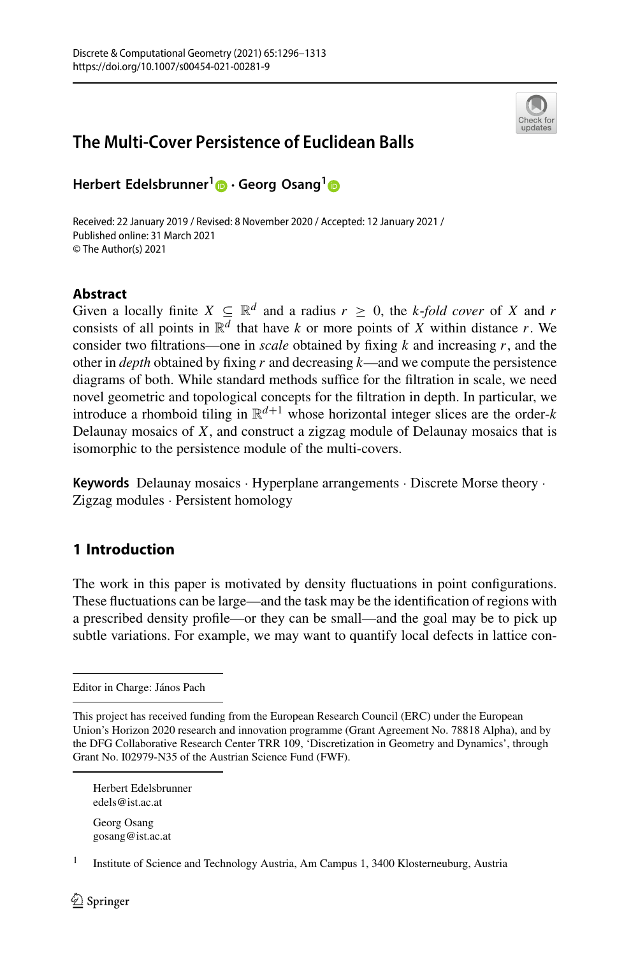

# **The Multi-Cover Persistence of Euclidean Balls**

**Herbert Edelsbrunner[1](http://orcid.org/0000-0002-9823-6833) · Georg Osang[1](http://orcid.org/0000-0002-8882-5116)**

Received: 22 January 2019 / Revised: 8 November 2020 / Accepted: 12 January 2021 / Published online: 31 March 2021 © The Author(s) 2021

### **Abstract**

Given a locally finite  $X \subseteq \mathbb{R}^d$  and a radius  $r > 0$ , the *k*-*fold cover* of *X* and *r* consists of all points in  $\mathbb{R}^d$  that have *k* or more points of *X* within distance *r*. We consider two filtrations—one in *scale* obtained by fixing *k* and increasing *r*, and the other in *depth* obtained by fixing *r* and decreasing *k*—and we compute the persistence diagrams of both. While standard methods suffice for the filtration in scale, we need novel geometric and topological concepts for the filtration in depth. In particular, we introduce a rhomboid tiling in  $\mathbb{R}^{d+1}$  whose horizontal integer slices are the order-*k* Delaunay mosaics of *X*, and construct a zigzag module of Delaunay mosaics that is isomorphic to the persistence module of the multi-covers.

**Keywords** Delaunay mosaics · Hyperplane arrangements · Discrete Morse theory · Zigzag modules · Persistent homology

# **1 Introduction**

The work in this paper is motivated by density fluctuations in point configurations. These fluctuations can be large—and the task may be the identification of regions with a prescribed density profile—or they can be small—and the goal may be to pick up subtle variations. For example, we may want to quantify local defects in lattice con-

Editor in Charge: János Pach

Herbert Edelsbrunner edels@ist.ac.at

Georg Osang gosang@ist.ac.at

This project has received funding from the European Research Council (ERC) under the European Union's Horizon 2020 research and innovation programme (Grant Agreement No. 78818 Alpha), and by the DFG Collaborative Research Center TRR 109, 'Discretization in Geometry and Dynamics', through Grant No. I02979-N35 of the Austrian Science Fund (FWF).

<sup>1</sup> Institute of Science and Technology Austria, Am Campus 1, 3400 Klosterneuburg, Austria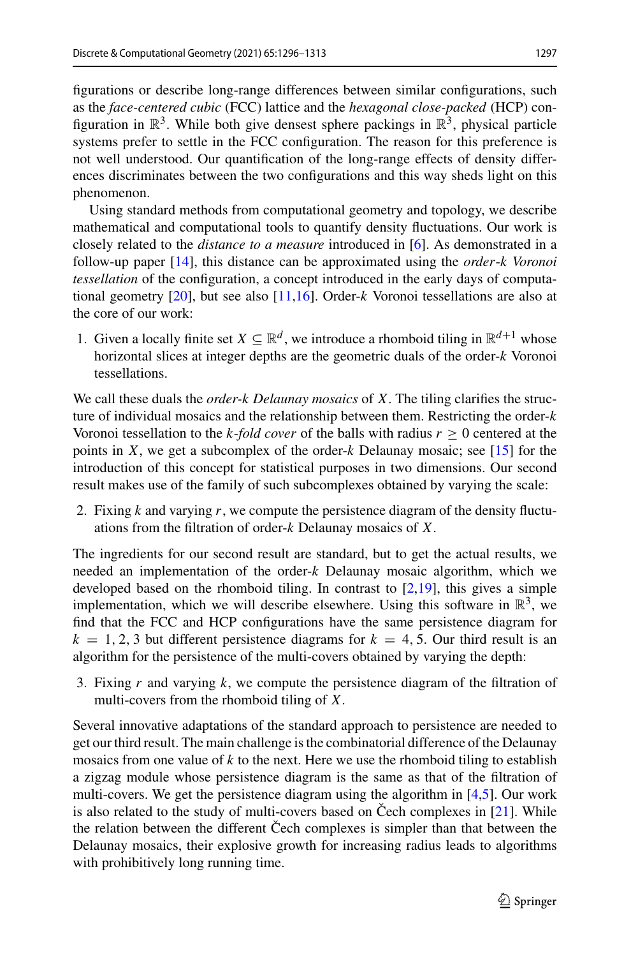figurations or describe long-range differences between similar configurations, such as the *face-centered cubic* (FCC) lattice and the *hexagonal close-packed* (HCP) configuration in  $\mathbb{R}^3$ . While both give densest sphere packings in  $\mathbb{R}^3$ , physical particle systems prefer to settle in the FCC configuration. The reason for this preference is not well understood. Our quantification of the long-range effects of density differences discriminates between the two configurations and this way sheds light on this phenomenon.

Using standard methods from computational geometry and topology, we describe mathematical and computational tools to quantify density fluctuations. Our work is closely related to the *distance to a measure* introduced in [\[6\]](#page-16-0). As demonstrated in a follow-up paper [\[14\]](#page-17-0), this distance can be approximated using the *order*-*k Voronoi tessellation* of the configuration, a concept introduced in the early days of computational geometry [\[20\]](#page-17-1), but see also [\[11](#page-17-2)[,16](#page-17-3)]. Order-*k* Voronoi tessellations are also at the core of our work:

1. Given a locally finite set  $X \subseteq \mathbb{R}^d$ , we introduce a rhomboid tiling in  $\mathbb{R}^{d+1}$  whose horizontal slices at integer depths are the geometric duals of the order-*k* Voronoi tessellations.

We call these duals the *order-k Delaunay mosaics* of *X*. The tiling clarifies the structure of individual mosaics and the relationship between them. Restricting the order-*k* Voronoi tessellation to the *k*-*fold cover* of the balls with radius  $r \geq 0$  centered at the points in *X*, we get a subcomplex of the order-*k* Delaunay mosaic; see [\[15\]](#page-17-4) for the introduction of this concept for statistical purposes in two dimensions. Our second result makes use of the family of such subcomplexes obtained by varying the scale:

2. Fixing *k* and varying *r*, we compute the persistence diagram of the density fluctuations from the filtration of order-*k* Delaunay mosaics of *X*.

The ingredients for our second result are standard, but to get the actual results, we needed an implementation of the order-*k* Delaunay mosaic algorithm, which we developed based on the rhomboid tiling. In contrast to  $[2,19]$  $[2,19]$  $[2,19]$ , this gives a simple implementation, which we will describe elsewhere. Using this software in  $\mathbb{R}^3$ , we find that the FCC and HCP configurations have the same persistence diagram for  $k = 1, 2, 3$  but different persistence diagrams for  $k = 4, 5$ . Our third result is an algorithm for the persistence of the multi-covers obtained by varying the depth:

3. Fixing *r* and varying *k*, we compute the persistence diagram of the filtration of multi-covers from the rhomboid tiling of *X*.

Several innovative adaptations of the standard approach to persistence are needed to get our third result. The main challenge is the combinatorial difference of the Delaunay mosaics from one value of  $k$  to the next. Here we use the rhomboid tiling to establish a zigzag module whose persistence diagram is the same as that of the filtration of multi-covers. We get the persistence diagram using the algorithm in [\[4](#page-16-2)[,5\]](#page-16-3). Our work is also related to the study of multi-covers based on Čech complexes in  $[21]$  $[21]$ . While the relation between the different Čech complexes is simpler than that between the Delaunay mosaics, their explosive growth for increasing radius leads to algorithms with prohibitively long running time.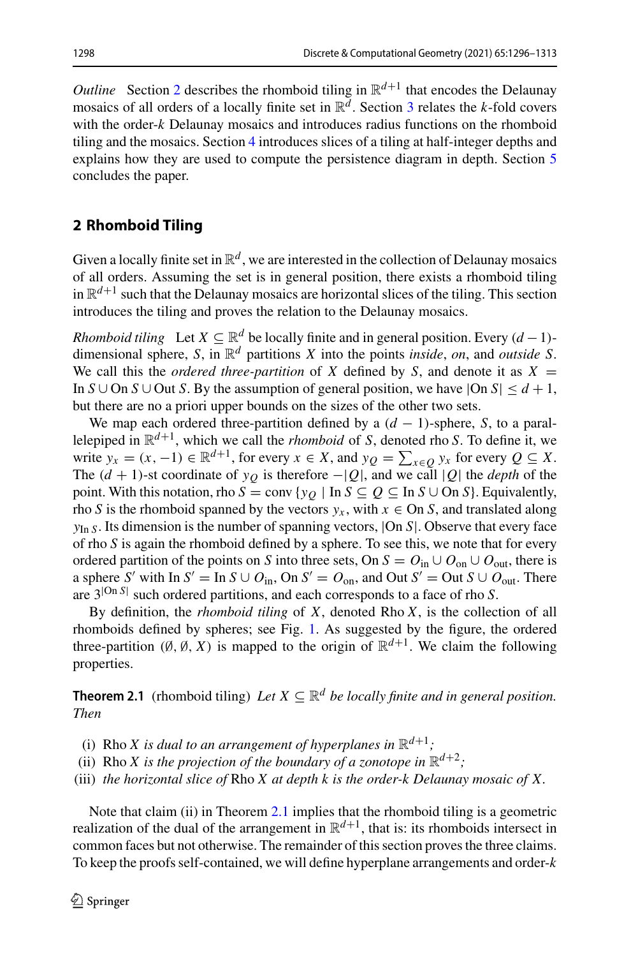*Outline* Section [2](#page-2-0) describes the rhomboid tiling in  $\mathbb{R}^{d+1}$  that encodes the Delaunay mosaics of all orders of a locally finite set in  $\mathbb{R}^d$ . Section [3](#page-5-0) relates the *k*-fold covers with the order-*k* Delaunay mosaics and introduces radius functions on the rhomboid tiling and the mosaics. Section [4](#page-10-0) introduces slices of a tiling at half-integer depths and explains how they are used to compute the persistence diagram in depth. Section [5](#page-15-0) concludes the paper.

# <span id="page-2-0"></span>**2 Rhomboid Tiling**

Given a locally finite set in  $\mathbb{R}^d$ , we are interested in the collection of Delaunay mosaics of all orders. Assuming the set is in general position, there exists a rhomboid tiling in  $\mathbb{R}^{d+1}$  such that the Delaunay mosaics are horizontal slices of the tiling. This section introduces the tiling and proves the relation to the Delaunay mosaics.

*Rhomboid tiling* Let  $X \subseteq \mathbb{R}^d$  be locally finite and in general position. Every  $(d-1)$ dimensional sphere, *S*, in R*<sup>d</sup>* partitions *X* into the points *inside*, *on*, and *outside S*. We call this the *ordered three-partition* of X defined by S, and denote it as  $X =$ In *S* ∪ On *S* ∪ Out *S*. By the assumption of general position, we have  $|On S| ≤ d + 1$ , but there are no a priori upper bounds on the sizes of the other two sets.

We map each ordered three-partition defined by a  $(d - 1)$ -sphere, *S*, to a parallelepiped in  $\mathbb{R}^{d+1}$ , which we call the *rhomboid* of *S*, denoted rho *S*. To define it, we write  $y_x = (x, -1) \in \mathbb{R}^{d+1}$ , for every  $x \in X$ , and  $y_Q = \sum_{x \in Q} y_x$  for every  $Q \subseteq X$ . The  $(d + 1)$ -st coordinate of *y*<sub>Q</sub> is therefore  $-|Q|$ , and we call  $|Q|$  the *depth* of the point. With this notation, rho *S* = conv {*y*<sub>*O*</sub> | In *S*  $\subseteq$  *Q*  $\subseteq$  In *S* ∪ On *S*}. Equivalently, rho *S* is the rhomboid spanned by the vectors  $y_x$ , with  $x \in On S$ , and translated along *y*In *<sup>S</sup>*. Its dimension is the number of spanning vectors, |On *S*|. Observe that every face of rho *S* is again the rhomboid defined by a sphere. To see this, we note that for every ordered partition of the points on *S* into three sets, On  $S = O_{in} \cup O_{on} \cup O_{out}$ , there is a sphere *S'* with In  $S' = \text{In } S \cup O_{\text{in}}$ , On  $S' = O_{\text{on}}$ , and Out  $S' = \text{Out } S \cup O_{\text{out}}$ . There are 3|On *<sup>S</sup>*<sup>|</sup> such ordered partitions, and each corresponds to a face of rho *S*.

<span id="page-2-1"></span>By definition, the *rhomboid tiling* of *X*, denoted Rho *X*, is the collection of all rhomboids defined by spheres; see Fig. [1.](#page-3-0) As suggested by the figure, the ordered three-partition  $(\emptyset, \emptyset, X)$  is mapped to the origin of  $\mathbb{R}^{d+1}$ . We claim the following properties.

**Theorem 2.1** (rhomboid tiling) *Let*  $X \subseteq \mathbb{R}^d$  *be locally finite and in general position. Then*

- (i) Rho *X* is dual to an arrangement of hyperplanes in  $\mathbb{R}^{d+1}$ ;
- (ii) Rho *X* is the projection of the boundary of a zonotope in  $\mathbb{R}^{d+2}$ ;
- (iii) *the horizontal slice of* Rho *X at depth k is the order-k Delaunay mosaic of X.*

Note that claim (ii) in Theorem [2.1](#page-2-1) implies that the rhomboid tiling is a geometric realization of the dual of the arrangement in  $\mathbb{R}^{d+1}$ , that is: its rhomboids intersect in common faces but not otherwise. The remainder of this section proves the three claims. To keep the proofs self-contained, we will define hyperplane arrangements and order-*k*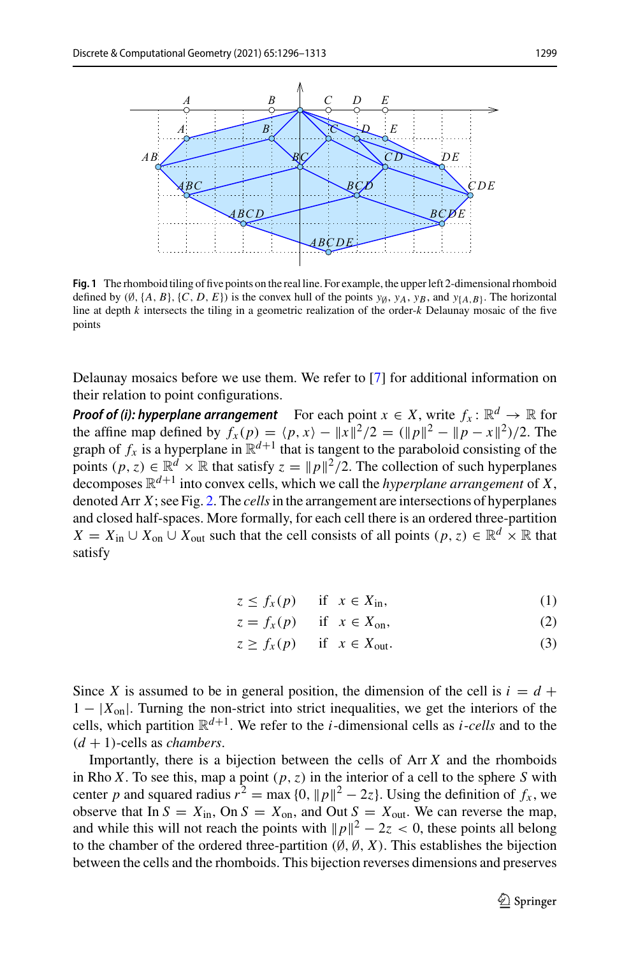

<span id="page-3-0"></span>**Fig. 1** The rhomboid tiling of five points on the real line. For example, the upper left 2-dimensional rhomboid defined by  $(\emptyset, \{A, B\}, \{C, D, E\})$  is the convex hull of the points  $y_{\emptyset}, y_A, y_B$ , and  $y_{\{A, B\}}$ . The horizontal line at depth *k* intersects the tiling in a geometric realization of the order-*k* Delaunay mosaic of the five points

Delaunay mosaics before we use them. We refer to [\[7\]](#page-16-4) for additional information on their relation to point configurations.

*Proof of (i): hyperplane arrangement* For each point  $x \in X$ , write  $f_x : \mathbb{R}^d \to \mathbb{R}$  for the affine map defined by  $f_x(p) = \langle p, x \rangle - ||x||^2/2 = (||p||^2 - ||p - x||^2)/2$ . The graph of  $f_x$  is a hyperplane in  $\mathbb{R}^{d+1}$  that is tangent to the paraboloid consisting of the points  $(p, z) \in \mathbb{R}^d \times \mathbb{R}$  that satisfy  $z = ||p||^2/2$ . The collection of such hyperplanes decomposes  $\mathbb{R}^{d+1}$  into convex cells, which we call the *hyperplane arrangement* of X, denoted Arr *X*; see Fig. [2.](#page-4-0) The *cells*in the arrangement are intersections of hyperplanes and closed half-spaces. More formally, for each cell there is an ordered three-partition *X* = *X*<sub>in</sub> ∪ *X*<sub>on</sub> ∪ *X*<sub>out</sub> such that the cell consists of all points (*p*, *z*) ∈  $\mathbb{R}^d$  ×  $\mathbb{R}$  that satisfy

$$
z \le f_x(p) \quad \text{if} \quad x \in X_{\text{in}}, \tag{1}
$$

$$
z = f_x(p) \quad \text{if} \quad x \in X_{\text{on}}, \tag{2}
$$

$$
z \ge f_x(p) \quad \text{if} \quad x \in X_{\text{out}}.\tag{3}
$$

Since X is assumed to be in general position, the dimension of the cell is  $i = d +$  $1 - |X_{on}|$ . Turning the non-strict into strict inequalities, we get the interiors of the cells, which partition  $\mathbb{R}^{d+1}$ . We refer to the *i*-dimensional cells as *i*-*cells* and to the  $(d + 1)$ -cells as *chambers*.

Importantly, there is a bijection between the cells of Arr *X* and the rhomboids in Rho *X*. To see this, map a point (*p*,*z*) in the interior of a cell to the sphere *S* with center *p* and squared radius  $r^2 = \max\{0, ||p||^2 - 2z\}$ . Using the definition of  $f_x$ , we observe that In  $S = X_{\text{in}}$ , On  $S = X_{\text{on}}$ , and Out  $S = X_{\text{out}}$ . We can reverse the map, and while this will not reach the points with  $||p||^2 - 2z < 0$ , these points all belong to the chamber of the ordered three-partition  $(\emptyset, \emptyset, X)$ . This establishes the bijection between the cells and the rhomboids. This bijection reverses dimensions and preserves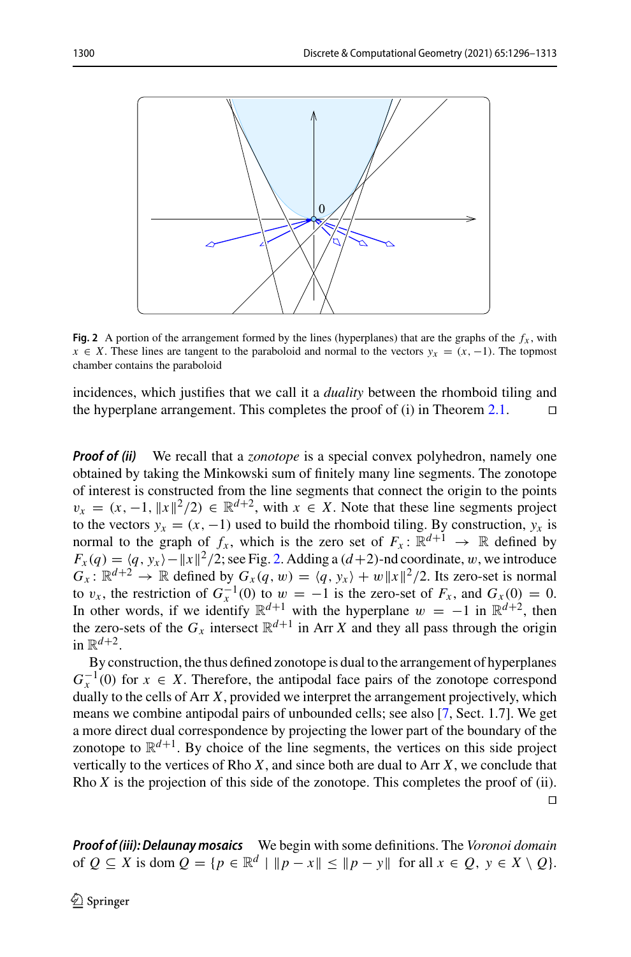

<span id="page-4-0"></span>**Fig. 2** A portion of the arrangement formed by the lines (hyperplanes) that are the graphs of the  $f_x$ , with *x* ∈ *X*. These lines are tangent to the paraboloid and normal to the vectors  $y_x = (x, -1)$ . The topmost chamber contains the paraboloid

incidences, which justifies that we call it a *duality* between the rhomboid tiling and the hyperplane arrangement. This completes the proof of (i) in Theorem [2.1.](#page-2-1)  $\Box$ 

*Proof of (ii)* We recall that a *zonotope* is a special convex polyhedron, namely one obtained by taking the Minkowski sum of finitely many line segments. The zonotope of interest is constructed from the line segments that connect the origin to the points  $v_x = (x, -1, ||x||^2/2) \in \mathbb{R}^{d+2}$ , with  $x \in X$ . Note that these line segments project to the vectors  $y_x = (x, -1)$  used to build the rhomboid tiling. By construction,  $y_x$  is normal to the graph of  $f_x$ , which is the zero set of  $F_x : \mathbb{R}^{d+1} \to \mathbb{R}$  defined by  $F_x(q) = \langle q, y_x \rangle - ||x||^2/2$ ; see Fig. [2.](#page-4-0) Adding a  $(d+2)$ -nd coordinate, w, we introduce  $G_x: \mathbb{R}^{d+2} \to \mathbb{R}$  defined by  $G_x(q, w) = \langle q, y_x \rangle + w \|x\|^2/2$ . Its zero-set is normal to  $v_x$ , the restriction of  $G_x^{-1}(0)$  to  $w = -1$  is the zero-set of  $F_x$ , and  $G_x(0) = 0$ . In other words, if we identify  $\mathbb{R}^{d+1}$  with the hyperplane  $w = -1$  in  $\mathbb{R}^{d+2}$ , then the zero-sets of the  $G_x$  intersect  $\mathbb{R}^{d+1}$  in Arr *X* and they all pass through the origin in  $\mathbb{R}^{d+2}$ .

By construction, the thus defined zonotope is dual to the arrangement of hyperplanes  $G_x^{-1}(0)$  for  $x \in X$ . Therefore, the antipodal face pairs of the zonotope correspond dually to the cells of Arr *X*, provided we interpret the arrangement projectively, which means we combine antipodal pairs of unbounded cells; see also [\[7,](#page-16-4) Sect. 1.7]. We get a more direct dual correspondence by projecting the lower part of the boundary of the zonotope to  $\mathbb{R}^{d+1}$ . By choice of the line segments, the vertices on this side project vertically to the vertices of Rho *X*, and since both are dual to Arr *X*, we conclude that Rho *X* is the projection of this side of the zonotope. This completes the proof of (ii).  $\Box$ 

*Proof of (iii): Delaunay mosaics* We begin with some definitions. The *Voronoi domain* of  $Q \subseteq X$  is dom  $Q = \{p \in \mathbb{R}^d \mid ||p - x|| \le ||p - y|| \text{ for all } x \in Q, y \in X \setminus Q\}.$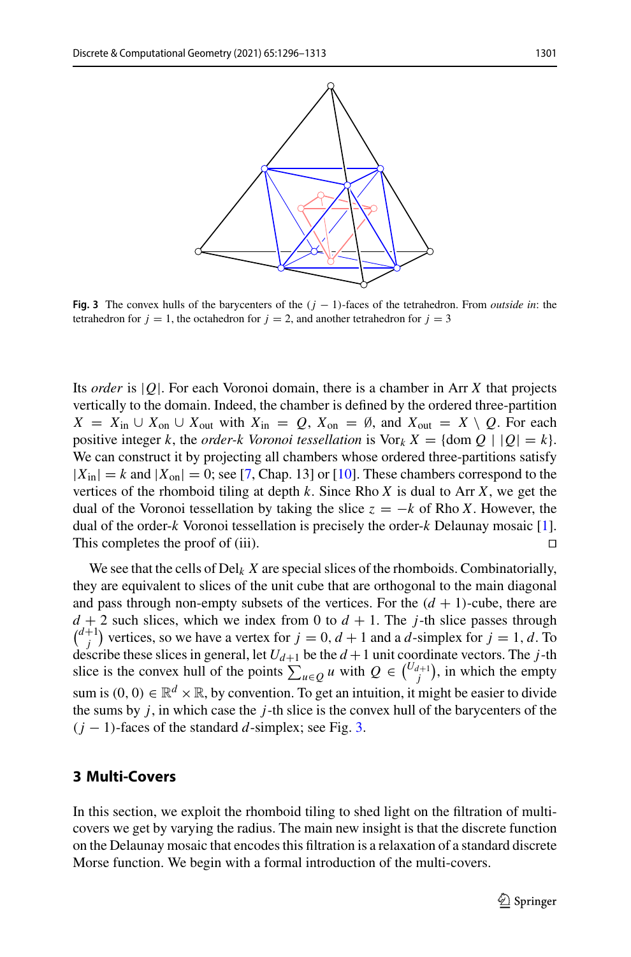

<span id="page-5-1"></span>**Fig. 3** The convex hulls of the barycenters of the (*j* − 1)-faces of the tetrahedron. From *outside in*: the tetrahedron for  $j = 1$ , the octahedron for  $j = 2$ , and another tetrahedron for  $j = 3$ 

Its *order* is |*Q*|. For each Voronoi domain, there is a chamber in Arr *X* that projects vertically to the domain. Indeed, the chamber is defined by the ordered three-partition *X* =  $X_{in}$  ∪  $X_{on}$  ∪  $X_{out}$  with  $X_{in}$  =  $Q$ ,  $X_{on}$  =  $\emptyset$ , and  $X_{out}$  =  $X \setminus Q$ . For each positive integer *k*, the *order-k Voronoi tessellation* is  $\text{Vor}_k X = \{\text{dom } Q \mid |Q| = k\}.$ We can construct it by projecting all chambers whose ordered three-partitions satisfy  $|X_{in}| = k$  and  $|X_{on}| = 0$ ; see [\[7](#page-16-4), Chap. 13] or [\[10](#page-16-5)]. These chambers correspond to the vertices of the rhomboid tiling at depth *k*. Since Rho *X* is dual to Arr *X*, we get the dual of the Voronoi tessellation by taking the slice  $z = -k$  of Rho *X*. However, the dual of the order-*k* Voronoi tessellation is precisely the order-*k* Delaunay mosaic [\[1](#page-16-6)]. This completes the proof of (iii).  $\Box$ 

We see that the cells of  $\text{Del}_k X$  are special slices of the rhomboids. Combinatorially, they are equivalent to slices of the unit cube that are orthogonal to the main diagonal and pass through non-empty subsets of the vertices. For the  $(d + 1)$ -cube, there are  $d + 2$  such slices, which we index from 0 to  $d + 1$ . The *j*-th slice passes through  $\binom{d+1}{j}$  vertices, so we have a vertex for  $j = 0, d + 1$  and a *d*-simplex for  $j = 1, d$ . To describe these slices in general, let  $U_{d+1}$  be the  $d+1$  unit coordinate vectors. The *j*-th slice is the convex hull of the points  $\sum_{u \in Q} u$  with  $Q \in {U_{d+1} \choose j}$ , in which the empty sum is  $(0, 0) \in \mathbb{R}^d \times \mathbb{R}$ , by convention. To get an intuition, it might be easier to divide the sums by *j*, in which case the *j*-th slice is the convex hull of the barycenters of the  $(j - 1)$ -faces of the standard *d*-simplex; see Fig. [3.](#page-5-1)

#### <span id="page-5-0"></span>**3 Multi-Covers**

In this section, we exploit the rhomboid tiling to shed light on the filtration of multicovers we get by varying the radius. The main new insight is that the discrete function on the Delaunay mosaic that encodes this filtration is a relaxation of a standard discrete Morse function. We begin with a formal introduction of the multi-covers.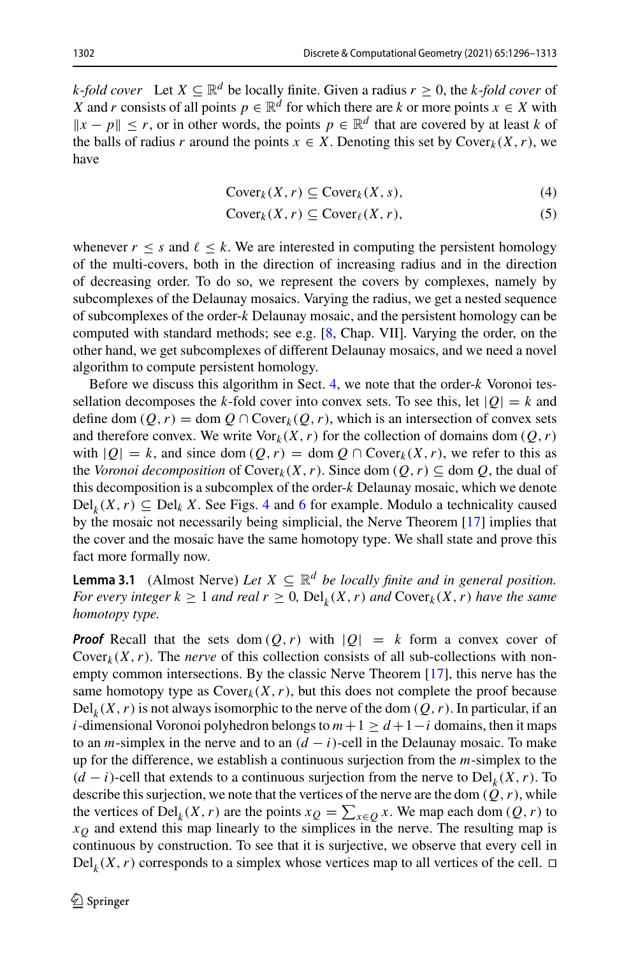*k*-*fold cover* Let  $X \subseteq \mathbb{R}^d$  be locally finite. Given a radius  $r \geq 0$ , the *k*-*fold cover* of *X* and *r* consists of all points  $p \in \mathbb{R}^d$  for which there are *k* or more points  $x \in X$  with  $||x - p||$  ≤ *r*, or in other words, the points  $p \in \mathbb{R}^d$  that are covered by at least *k* of the balls of radius *r* around the points  $x \in X$ . Denoting this set by Cover $_k(X, r)$ , we have

<span id="page-6-1"></span>
$$
Coverk(X, r) \subseteq Coverk(X, s),
$$
\n(4)

$$
Coverk(X, r) \subseteq Coverl(X, r),
$$
\n(5)

whenever  $r \leq s$  and  $\ell \leq k$ . We are interested in computing the persistent homology of the multi-covers, both in the direction of increasing radius and in the direction of decreasing order. To do so, we represent the covers by complexes, namely by subcomplexes of the Delaunay mosaics. Varying the radius, we get a nested sequence of subcomplexes of the order-*k* Delaunay mosaic, and the persistent homology can be computed with standard methods; see e.g. [\[8,](#page-16-7) Chap. VII]. Varying the order, on the other hand, we get subcomplexes of different Delaunay mosaics, and we need a novel algorithm to compute persistent homology.

Before we discuss this algorithm in Sect. [4,](#page-10-0) we note that the order-*k* Voronoi tessellation decomposes the *k*-fold cover into convex sets. To see this, let  $|Q| = k$  and define dom  $(Q, r)$  = dom  $Q \cap \text{Cover}_k(Q, r)$ , which is an intersection of convex sets and therefore convex. We write  $\text{Vor}_k(X, r)$  for the collection of domains dom  $(Q, r)$ with  $|Q| = k$ , and since dom  $(Q, r) =$  dom  $Q \cap \text{Cover}_k(X, r)$ , we refer to this as the *Voronoi decomposition* of  $Cover_k(X, r)$ . Since dom  $(Q, r) \subseteq$  dom  $Q$ , the dual of this decomposition is a subcomplex of the order-*k* Delaunay mosaic, which we denote  $Del_k(X, r) \subseteq Del_k(X)$ . See Figs. [4](#page-7-0) and [6](#page-8-0) for example. Modulo a technicality caused by the mosaic not necessarily being simplicial, the Nerve Theorem [\[17\]](#page-17-7) implies that the cover and the mosaic have the same homotopy type. We shall state and prove this fact more formally now.

<span id="page-6-0"></span>**Lemma 3.1** (Almost Nerve) Let  $X \subseteq \mathbb{R}^d$  be locally finite and in general position. *For every integer*  $k \geq 1$  *and real*  $r \geq 0$ ,  $\text{Del}_k(X,r)$  *and*  $\text{Cover}_k(X,r)$  *have the same homotopy type.*

*Proof* Recall that the sets dom  $(Q, r)$  with  $|Q| = k$  form a convex cover of Cover<sub>k</sub> $(X, r)$ . The *nerve* of this collection consists of all sub-collections with nonempty common intersections. By the classic Nerve Theorem [\[17](#page-17-7)], this nerve has the same homotopy type as  $\text{Cover}_k(X, r)$ , but this does not complete the proof because  $Del<sub>k</sub>(X, r)$  is not always isomorphic to the nerve of the dom  $(Q, r)$ . In particular, if an *i*-dimensional Voronoi polyhedron belongs to  $m+1 \ge d+1-i$  domains, then it maps to an *m*-simplex in the nerve and to an  $(d - i)$ -cell in the Delaunay mosaic. To make up for the difference, we establish a continuous surjection from the *m*-simplex to the  $(d - i)$ -cell that extends to a continuous surjection from the nerve to  $Del<sub>k</sub>(X, r)$ . To describe this surjection, we note that the vertices of the nerve are the dom  $(Q, r)$ , while the vertices of  $\text{Del}_k(X, r)$  are the points  $x_Q = \sum_{x \in Q} x$ . We map each dom  $(Q, r)$  to  $x_Q$  and extend this map linearly to the simplices in the nerve. The resulting map is continuous by construction. To see that it is surjective, we observe that every cell in  $\text{Del}_k(X, r)$  corresponds to a simplex whose vertices map to all vertices of the cell.  $\Box$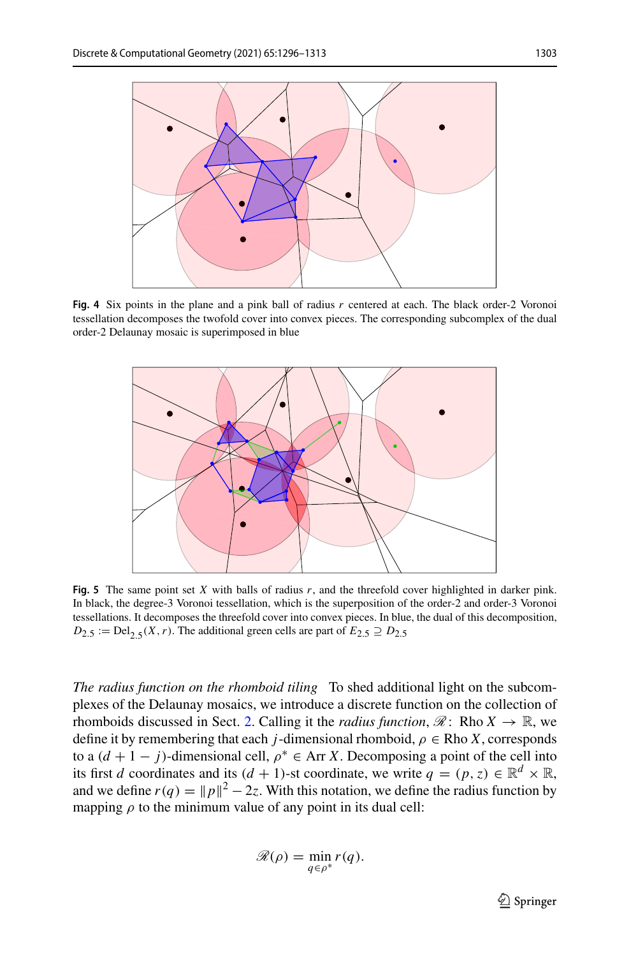

<span id="page-7-0"></span>**Fig. 4** Six points in the plane and a pink ball of radius *r* centered at each. The black order-2 Voronoi tessellation decomposes the twofold cover into convex pieces. The corresponding subcomplex of the dual order-2 Delaunay mosaic is superimposed in blue



<span id="page-7-1"></span>**Fig. 5** The same point set *X* with balls of radius *r*, and the threefold cover highlighted in darker pink. In black, the degree-3 Voronoi tessellation, which is the superposition of the order-2 and order-3 Voronoi tessellations. It decomposes the threefold cover into convex pieces. In blue, the dual of this decomposition,  $D_{2,5} := \text{Del}_{2,5}(X,r)$ . The additional green cells are part of  $E_{2,5} \supseteq D_{2,5}$ 

*The radius function on the rhomboid tiling* To shed additional light on the subcomplexes of the Delaunay mosaics, we introduce a discrete function on the collection of rhomboids discussed in Sect. [2.](#page-2-0) Calling it the *radius function*,  $\mathcal{R}$ : Rho  $X \to \mathbb{R}$ , we define it by remembering that each *j*-dimensional rhomboid,  $\rho \in \text{Rho } X$ , corresponds to a  $(d + 1 - j)$ -dimensional cell,  $\rho^* \in \text{Arr } X$ . Decomposing a point of the cell into its first *d* coordinates and its  $(d + 1)$ -st coordinate, we write  $q = (p, z) \in \mathbb{R}^d \times \mathbb{R}$ , and we define  $r(q) = ||p||^2 - 2z$ . With this notation, we define the radius function by mapping  $\rho$  to the minimum value of any point in its dual cell:

$$
\mathscr{R}(\rho) = \min_{q \in \rho^*} r(q).
$$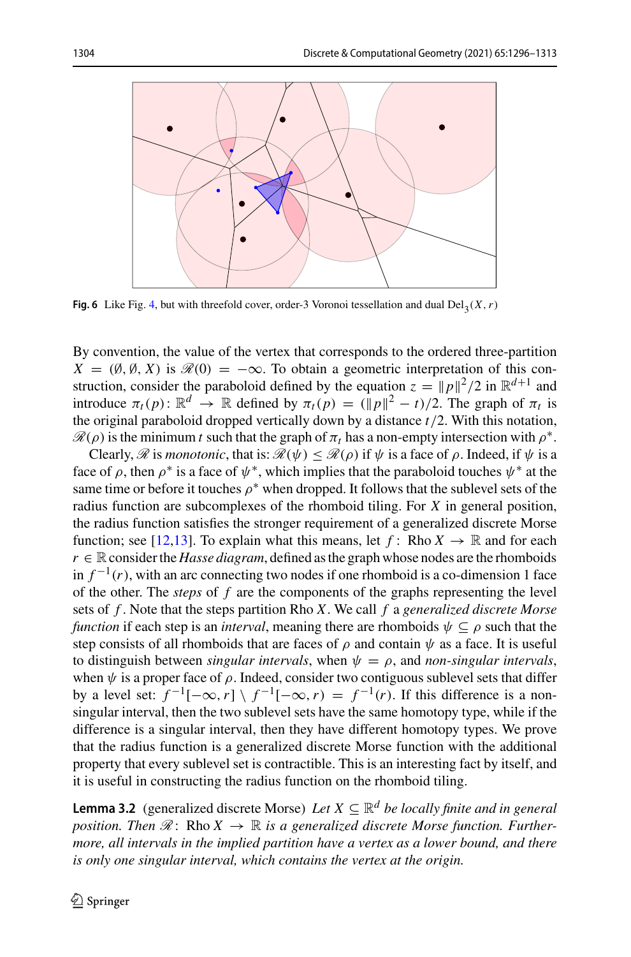

<span id="page-8-0"></span>**Fig. 6** Like Fig. [4,](#page-7-0) but with threefold cover, order-3 Voronoi tessellation and dual  $Del_3(X, r)$ 

By convention, the value of the vertex that corresponds to the ordered three-partition  $X = (\emptyset, \emptyset, X)$  is  $\mathcal{R}(0) = -\infty$ . To obtain a geometric interpretation of this construction, consider the paraboloid defined by the equation  $z = ||p||^2/2$  in  $\mathbb{R}^{d+1}$  and introduce  $\pi_t(p)$ :  $\mathbb{R}^d \to \mathbb{R}$  defined by  $\pi_t(p) = (\|p\|^2 - t)/2$ . The graph of  $\pi_t$  is the original paraboloid dropped vertically down by a distance *t*/2. With this notation,  $\mathcal{R}(\rho)$  is the minimum *t* such that the graph of  $\pi_t$  has a non-empty intersection with  $\rho^*$ .

Clearly,  $\mathscr R$  is *monotonic*, that is:  $\mathscr R(\psi) < \mathscr R(\rho)$  if  $\psi$  is a face of  $\rho$ . Indeed, if  $\psi$  is a face of  $\rho$ , then  $\rho^*$  is a face of  $\psi^*$ , which implies that the paraboloid touches  $\psi^*$  at the same time or before it touches  $\rho^*$  when dropped. It follows that the sublevel sets of the radius function are subcomplexes of the rhomboid tiling. For *X* in general position, the radius function satisfies the stronger requirement of a generalized discrete Morse function; see [\[12](#page-17-8)[,13\]](#page-17-9). To explain what this means, let  $f: \text{Rho } X \to \mathbb{R}$  and for each  $r \in \mathbb{R}$  consider the *Hasse diagram*, defined as the graph whose nodes are the rhomboids in  $f^{-1}(r)$ , with an arc connecting two nodes if one rhomboid is a co-dimension 1 face of the other. The *steps* of *f* are the components of the graphs representing the level sets of *f* . Note that the steps partition Rho *X*. We call *f* a *generalized discrete Morse function* if each step is an *interval*, meaning there are rhomboids  $\psi \subseteq \rho$  such that the step consists of all rhomboids that are faces of  $\rho$  and contain  $\psi$  as a face. It is useful to distinguish between *singular intervals*, when  $\psi = \rho$ , and *non-singular intervals*, when  $\psi$  is a proper face of  $\rho$ . Indeed, consider two contiguous sublevel sets that differ by a level set:  $f^{-1}[-\infty, r] \setminus f^{-1}[-\infty, r) = f^{-1}(r)$ . If this difference is a nonsingular interval, then the two sublevel sets have the same homotopy type, while if the difference is a singular interval, then they have different homotopy types. We prove that the radius function is a generalized discrete Morse function with the additional property that every sublevel set is contractible. This is an interesting fact by itself, and it is useful in constructing the radius function on the rhomboid tiling.

<span id="page-8-1"></span>**Lemma 3.2** (generalized discrete Morse) *Let*  $X \subseteq \mathbb{R}^d$  *be locally finite and in general position. Then*  $\mathcal{R}$ : Rho  $X \to \mathbb{R}$  *is a generalized discrete Morse function. Furthermore, all intervals in the implied partition have a vertex as a lower bound, and there is only one singular interval, which contains the vertex at the origin.*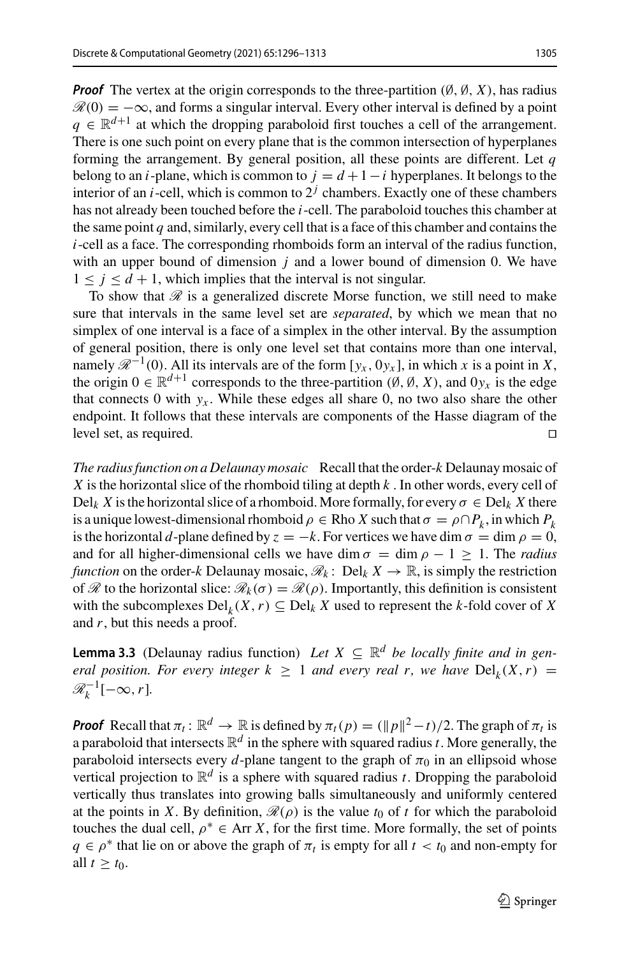*Proof* The vertex at the origin corresponds to the three-partition  $(\emptyset, \emptyset, X)$ , has radius  $\mathcal{R}(0) = -\infty$ , and forms a singular interval. Every other interval is defined by a point  $q \in \mathbb{R}^{d+1}$  at which the dropping paraboloid first touches a cell of the arrangement. There is one such point on every plane that is the common intersection of hyperplanes forming the arrangement. By general position, all these points are different. Let *q* belong to an *i*-plane, which is common to  $j = d + 1 - i$  hyperplanes. It belongs to the interior of an *i*-cell, which is common to  $2^{j}$  chambers. Exactly one of these chambers has not already been touched before the *i*-cell. The paraboloid touches this chamber at the same point  $q$  and, similarly, every cell that is a face of this chamber and contains the *i*-cell as a face. The corresponding rhomboids form an interval of the radius function, with an upper bound of dimension *j* and a lower bound of dimension 0. We have  $1 \leq i \leq d+1$ , which implies that the interval is not singular.

To show that  $\mathcal R$  is a generalized discrete Morse function, we still need to make sure that intervals in the same level set are *separated*, by which we mean that no simplex of one interval is a face of a simplex in the other interval. By the assumption of general position, there is only one level set that contains more than one interval, namely  $\mathcal{R}^{-1}(0)$ . All its intervals are of the form  $[y_x, 0y_x]$ , in which *x* is a point in *X*, the origin  $0 \in \mathbb{R}^{d+1}$  corresponds to the three-partition  $(\emptyset, \emptyset, X)$ , and  $0y_x$  is the edge that connects 0 with  $y_x$ . While these edges all share 0, no two also share the other endpoint. It follows that these intervals are components of the Hasse diagram of the level set, as required.

*The radius function on a Delaunay mosaic* Recall that the order-*k* Delaunay mosaic of *X* is the horizontal slice of the rhomboid tiling at depth *k* . In other words, every cell of  $Del_k X$  is the horizontal slice of a rhomboid. More formally, for every  $\sigma \in Del_k X$  there is a unique lowest-dimensional rhomboid  $\rho \in \text{Rho } X$  such that  $\sigma = \rho \cap P_k$ , in which  $P_k$ is the horizontal *d*-plane defined by  $z = -k$ . For vertices we have dim  $\sigma = \dim \rho = 0$ , and for all higher-dimensional cells we have dim  $\sigma = \dim \rho - 1 \geq 1$ . The *radius function* on the order-*k* Delaunay mosaic,  $\mathcal{R}_k$ : Del<sub>k</sub>  $X \to \mathbb{R}$ , is simply the restriction of  $\mathcal{R}$  to the horizontal slice:  $\mathcal{R}_k(\sigma) = \mathcal{R}(\rho)$ . Importantly, this definition is consistent with the subcomplexes  $\text{Del}_k(X, r) \subseteq \text{Del}_k(X)$  used to represent the *k*-fold cover of X and *r*, but this needs a proof.

<span id="page-9-0"></span>**Lemma 3.3** (Delaunay radius function) *Let*  $X \subseteq \mathbb{R}^d$  *be locally finite and in general position. For every integer*  $k \ge 1$  *and every real r, we have*  $Del_k(X, r) =$  $\mathscr{R}_k^{-1}[-\infty,r]$ .

*Proof* Recall that  $\pi_t$ :  $\mathbb{R}^d \to \mathbb{R}$  is defined by  $\pi_t(p) = (\|p\|^2 - t)/2$ . The graph of  $\pi_t$  is a paraboloid that intersects  $\mathbb{R}^d$  in the sphere with squared radius *t*. More generally, the paraboloid intersects every *d*-plane tangent to the graph of  $\pi_0$  in an ellipsoid whose vertical projection to  $\mathbb{R}^d$  is a sphere with squared radius *t*. Dropping the paraboloid vertically thus translates into growing balls simultaneously and uniformly centered at the points in *X*. By definition,  $\mathcal{R}(\rho)$  is the value  $t_0$  of *t* for which the paraboloid touches the dual cell,  $\rho^* \in \text{Arr } X$ , for the first time. More formally, the set of points  $q \in \rho^*$  that lie on or above the graph of  $\pi_t$  is empty for all  $t < t_0$  and non-empty for all  $t \geq t_0$ .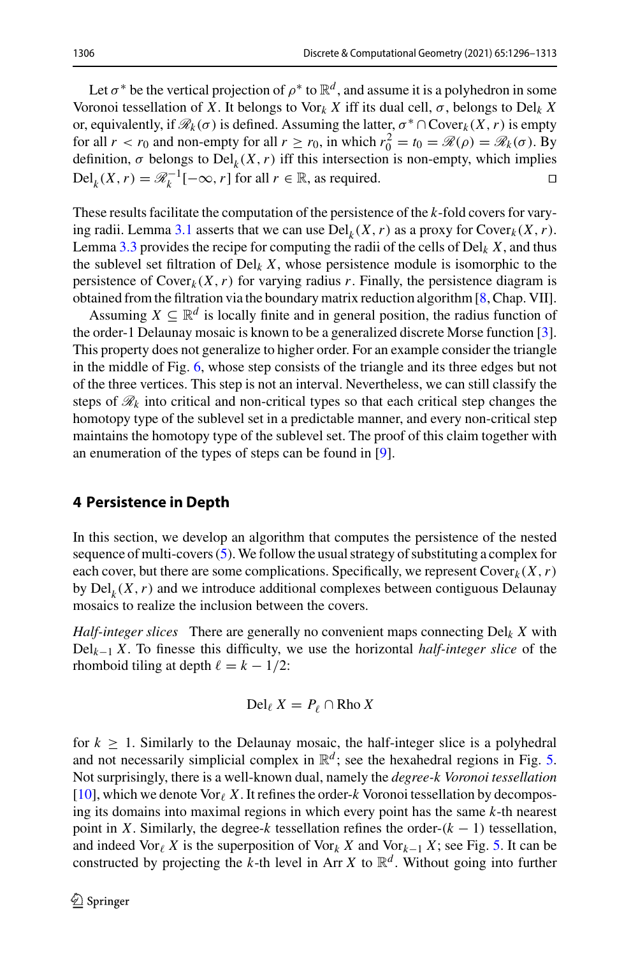Let  $\sigma^*$  be the vertical projection of  $\rho^*$  to  $\mathbb{R}^d$ , and assume it is a polyhedron in some Voronoi tessellation of *X*. It belongs to Vor<sub>k</sub> *X* iff its dual cell,  $\sigma$ , belongs to Del<sub>k</sub> *X* or, equivalently, if  $\mathcal{R}_k(\sigma)$  is defined. Assuming the latter,  $\sigma^* \cap \text{Cover}_k(X, r)$  is empty for all  $r < r_0$  and non-empty for all  $r \ge r_0$ , in which  $r_0^2 = t_0 = \mathcal{R}(\rho) = \mathcal{R}_k(\sigma)$ . By definition,  $\sigma$  belongs to  $\text{Del}_k(X, r)$  iff this intersection is non-empty, which implies  $\text{Del}_k(X, r) = \mathcal{R}_k^{-1}[-\infty, r]$  for all  $r \in \mathbb{R}$ , as required.

These results facilitate the computation of the persistence of the *k*-fold covers for vary-ing radii. Lemma [3.1](#page-6-0) asserts that we can use  $Del_k(X, r)$  as a proxy for Cover $_k(X, r)$ . Lemma [3.3](#page-9-0) provides the recipe for computing the radii of the cells of  $\text{Del}_k X$ , and thus the sublevel set filtration of  $\text{Del}_k X$ , whose persistence module is isomorphic to the persistence of  $\text{Cover}_k(X, r)$  for varying radius *r*. Finally, the persistence diagram is obtained from the filtration via the boundary matrix reduction algorithm [\[8](#page-16-7), Chap. VII].

Assuming  $X \subseteq \mathbb{R}^d$  is locally finite and in general position, the radius function of the order-1 Delaunay mosaic is known to be a generalized discrete Morse function [\[3](#page-16-8)]. This property does not generalize to higher order. For an example consider the triangle in the middle of Fig. [6,](#page-8-0) whose step consists of the triangle and its three edges but not of the three vertices. This step is not an interval. Nevertheless, we can still classify the steps of  $\mathcal{R}_k$  into critical and non-critical types so that each critical step changes the homotopy type of the sublevel set in a predictable manner, and every non-critical step maintains the homotopy type of the sublevel set. The proof of this claim together with an enumeration of the types of steps can be found in [\[9\]](#page-16-9).

# <span id="page-10-0"></span>**4 Persistence in Depth**

In this section, we develop an algorithm that computes the persistence of the nested sequence of multi-covers  $(5)$ . We follow the usual strategy of substituting a complex for each cover, but there are some complications. Specifically, we represent  $\text{Cover}_k(X, r)$ by  $Del_k(X, r)$  and we introduce additional complexes between contiguous Delaunay mosaics to realize the inclusion between the covers.

*Half-integer slices* There are generally no convenient maps connecting  $\text{Del}_k X$  with Del*k*−<sup>1</sup> *X*. To finesse this difficulty, we use the horizontal *half-integer slice* of the rhomboid tiling at depth  $\ell = k - 1/2$ :

$$
\operatorname{Del}_{\ell} X = P_{\ell} \cap \operatorname{Rho} X
$$

for  $k \geq 1$ . Similarly to the Delaunay mosaic, the half-integer slice is a polyhedral and not necessarily simplicial complex in  $\mathbb{R}^d$ ; see the hexahedral regions in Fig. [5.](#page-7-1) Not surprisingly, there is a well-known dual, namely the *degree-k Voronoi tessellation* [\[10](#page-16-5)], which we denote  $\text{Vor}_{\ell} X$ . It refines the order-*k* Voronoi tessellation by decomposing its domains into maximal regions in which every point has the same *k*-th nearest point in *X*. Similarly, the degree- $k$  tessellation refines the order- $(k - 1)$  tessellation, and indeed Vor<sub>l</sub> *X* is the superposition of Vor<sub>k</sub> *X* and Vor<sub>k−1</sub> *X*; see Fig. [5.](#page-7-1) It can be constructed by projecting the *k*-th level in Arr *X* to  $\mathbb{R}^d$ . Without going into further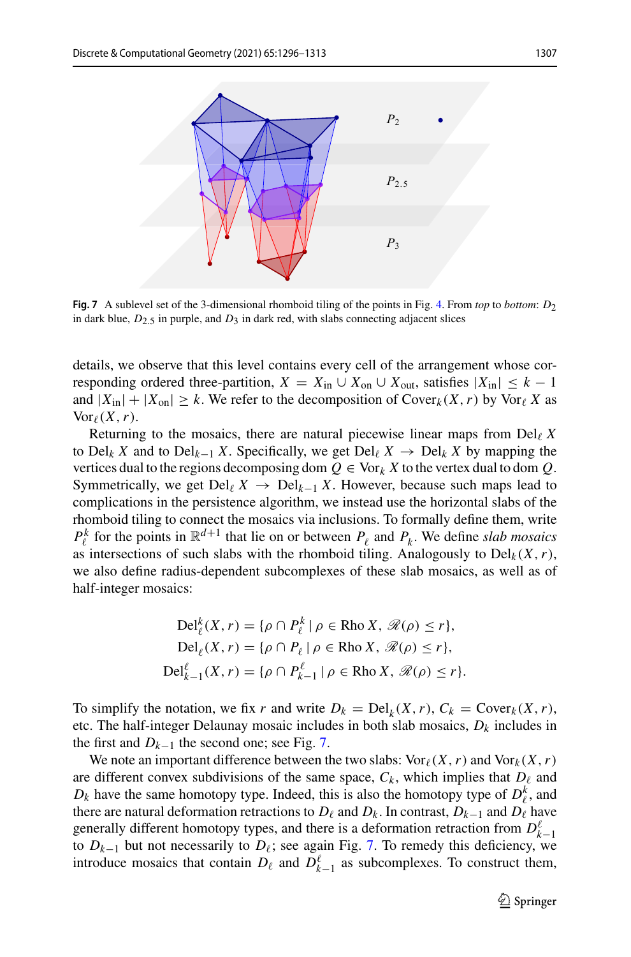

<span id="page-11-0"></span>**Fig. 7** A sublevel set of the 3-dimensional rhomboid tiling of the points in Fig. [4.](#page-7-0) From *top* to *bottom*: *D*2 in dark blue,  $D_2$ <sub>5</sub> in purple, and  $D_3$  in dark red, with slabs connecting adjacent slices

details, we observe that this level contains every cell of the arrangement whose corresponding ordered three-partition,  $X = X_{in} \cup X_{on} \cup X_{out}$ , satisfies  $|X_{in}| \leq k - 1$ and  $|X_{\text{in}}| + |X_{\text{on}}| \geq k$ . We refer to the decomposition of  $\text{Cover}_k(X, r)$  by  $\text{Vor}_{\ell} X$  as  $\text{Vor}_{\ell}(X,r).$ 

Returning to the mosaics, there are natural piecewise linear maps from  $\text{Del}_\ell X$ to  $\text{Del}_k X$  and to  $\text{Del}_{k-1} X$ . Specifically, we get  $\text{Del}_k X \to \text{Del}_k X$  by mapping the vertices dual to the regions decomposing dom  $Q \in \text{Vor}_k X$  to the vertex dual to dom  $Q$ . Symmetrically, we get  $\text{Del}_\ell X \to \text{Del}_{k-1} X$ . However, because such maps lead to complications in the persistence algorithm, we instead use the horizontal slabs of the rhomboid tiling to connect the mosaics via inclusions. To formally define them, write  $P_{\ell}^{k}$  for the points in  $\mathbb{R}^{d+1}$  that lie on or between  $P_{\ell}$  and  $P_{k}$ . We define *slab mosaics* as intersections of such slabs with the rhomboid tiling. Analogously to  $Del_k(X, r)$ , we also define radius-dependent subcomplexes of these slab mosaics, as well as of half-integer mosaics:

$$
\operatorname{Del}_{\ell}^k(X, r) = \{ \rho \cap P_{\ell}^k \mid \rho \in \operatorname{Rho} X, \, \mathcal{R}(\rho) \le r \},
$$
\n
$$
\operatorname{Del}_{\ell}(X, r) = \{ \rho \cap P_{\ell} \mid \rho \in \operatorname{Rho} X, \, \mathcal{R}(\rho) \le r \},
$$
\n
$$
\operatorname{Del}_{k-1}^{\ell}(X, r) = \{ \rho \cap P_{k-1}^{\ell} \mid \rho \in \operatorname{Rho} X, \, \mathcal{R}(\rho) \le r \}.
$$

To simplify the notation, we fix *r* and write  $D_k = \text{Del}_k(X, r)$ ,  $C_k = \text{Cover}_k(X, r)$ , etc. The half-integer Delaunay mosaic includes in both slab mosaics,  $D_k$  includes in the first and  $D_{k-1}$  the second one; see Fig. [7.](#page-11-0)

We note an important difference between the two slabs:  $\text{Vor}_{\ell}(X,r)$  and  $\text{Vor}_{k}(X,r)$ are different convex subdivisions of the same space,  $C_k$ , which implies that  $D_\ell$  and  $D_k$  have the same homotopy type. Indeed, this is also the homotopy type of  $D_{\ell}^k$ , and there are natural deformation retractions to  $D_{\ell}$  and  $D_k$ . In contrast,  $D_{k-1}$  and  $D_{\ell}$  have generally different homotopy types, and there is a deformation retraction from  $D_{k-1}^{\ell}$ to  $D_{k-1}$  but not necessarily to  $D_{\ell}$ ; see again Fig. [7.](#page-11-0) To remedy this deficiency, we introduce mosaics that contain  $D_{\ell}$  and  $D_{k-1}^{\ell}$  as subcomplexes. To construct them,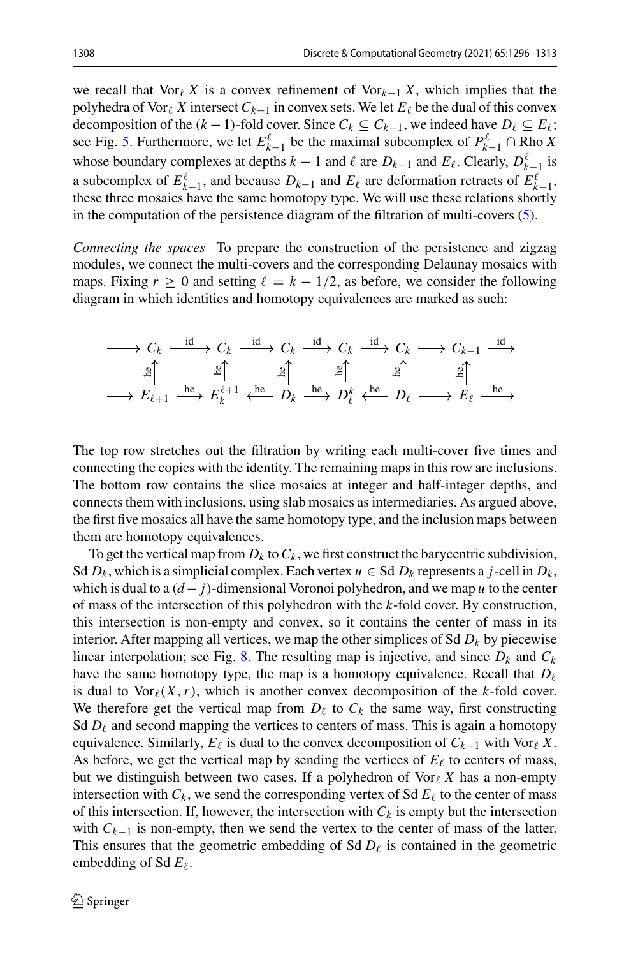we recall that Vor<sub> $\ell$ </sub> *X* is a convex refinement of Vor<sub> $k-1$ </sub> *X*, which implies that the polyhedra of Vor<sub> $\ell$ </sub> *X* intersect  $C_{k-1}$  in convex sets. We let  $E_{\ell}$  be the dual of this convex decomposition of the  $(k-1)$ -fold cover. Since  $C_k \subseteq C_{k-1}$ , we indeed have  $D_\ell \subseteq E_\ell$ ; see Fig. [5.](#page-7-1) Furthermore, we let  $E_{k-1}^{\ell}$  be the maximal subcomplex of  $P_{k-1}^{\ell} \cap \text{Rho } X$ whose boundary complexes at depths  $k - 1$  and  $\ell$  are  $D_{k-1}$  and  $E_{\ell}$ . Clearly,  $D_{k-1}^{\ell}$  is a subcomplex of  $E_{k-1}^{\ell}$ , and because  $D_{k-1}$  and  $E_{\ell}$  are deformation retracts of  $E_{k-1}^{\ell}$ , these three mosaics have the same homotopy type. We will use these relations shortly in the computation of the persistence diagram of the filtration of multi-covers [\(5\)](#page-6-1).

*Connecting the spaces* To prepare the construction of the persistence and zigzag modules, we connect the multi-covers and the corresponding Delaunay mosaics with maps. Fixing  $r \ge 0$  and setting  $\ell = k - 1/2$ , as before, we consider the following diagram in which identities and homotopy equivalences are marked as such:

$$
\longrightarrow C_k \xrightarrow{\text{id}} C_k \xrightarrow{\text{id}} C_k \xrightarrow{\text{id}} C_k \xrightarrow{\text{id}} C_k \longrightarrow C_{k-1} \xrightarrow{\text{id}} C_k
$$
  

$$
\xrightarrow{\text{g}} \qquad \xrightarrow{\text{g}} \qquad \xrightarrow{\text{g}} \qquad \xrightarrow{\text{g}} \qquad \xrightarrow{\text{g}} \qquad \xrightarrow{\text{g}} \qquad \xrightarrow{\text{g}} \qquad \xrightarrow{\text{g}} \qquad \xrightarrow{\text{g}} \qquad \xrightarrow{\text{g}} \qquad \xrightarrow{\text{g}} \qquad \xrightarrow{\text{g}} \qquad \xrightarrow{\text{g}} \qquad \xrightarrow{\text{g}} \qquad \xrightarrow{\text{g}} \qquad \xrightarrow{\text{g}} \qquad \xrightarrow{\text{g}} \qquad \xrightarrow{\text{g}} \qquad \xrightarrow{\text{g}} \qquad \xrightarrow{\text{g}} \qquad \xrightarrow{\text{g}} \qquad \xrightarrow{\text{g}} \qquad \xrightarrow{\text{g}} \qquad \xrightarrow{\text{g}} \qquad \xrightarrow{\text{g}} \qquad \xrightarrow{\text{g}} \qquad \xrightarrow{\text{g}} \qquad \xrightarrow{\text{g}} \qquad \xrightarrow{\text{g}} \qquad \xrightarrow{\text{g}} \qquad \xrightarrow{\text{g}} \qquad \xrightarrow{\text{g}} \qquad \xrightarrow{\text{g}} \qquad \xrightarrow{\text{g}} \qquad \xrightarrow{\text{g}} \qquad \xrightarrow{\text{g}} \qquad \xrightarrow{\text{g}} \qquad \xrightarrow{\text{g}} \qquad \xrightarrow{\text{g}} \qquad \xrightarrow{\text{g}} \qquad \xrightarrow{\text{g}} \qquad \xrightarrow{\text{g}} \qquad \xrightarrow{\text{g}} \qquad \xrightarrow{\text{g}} \qquad \xrightarrow{\text{g}} \qquad \xrightarrow{\text{g}} \qquad \xrightarrow{\text{g}} \qquad \xrightarrow{\text{g}} \qquad \xrightarrow{\text{g}} \qquad \xrightarrow{\text{g}} \qquad \xrightarrow{\text{g}} \qquad \xrightarrow{\text{g}} \qquad \xrightarrow{\text{g}} \qquad \xrightarrow{\text{g}} \qquad \xrightarrow{\text{g}} \qquad \xrightarrow{\text{g}} \qquad \xrightarrow{\text{g}} \qquad \xrightarrow{\text{g}} \qquad \xrightarrow{\text{g}} \qquad \xrightarrow{\text{g}} \qquad \xrightarrow{\text{g}} \qquad \xrightarrow{\text{g}} \qquad \xrightarrow{\text{g}} \qquad \
$$

The top row stretches out the filtration by writing each multi-cover five times and connecting the copies with the identity. The remaining maps in this row are inclusions. The bottom row contains the slice mosaics at integer and half-integer depths, and connects them with inclusions, using slab mosaics as intermediaries. As argued above, the first five mosaics all have the same homotopy type, and the inclusion maps between them are homotopy equivalences.

To get the vertical map from  $D_k$  to  $C_k$ , we first construct the barycentric subdivision, Sd  $D_k$ , which is a simplicial complex. Each vertex  $u \in S$ d  $D_k$  represents a *j*-cell in  $D_k$ , which is dual to a (*d*− *j*)-dimensional Voronoi polyhedron, and we map *u* to the center of mass of the intersection of this polyhedron with the *k*-fold cover. By construction, this intersection is non-empty and convex, so it contains the center of mass in its interior. After mapping all vertices, we map the other simplices of Sd  $D_k$  by piecewise linear interpolation; see Fig. [8.](#page-13-0) The resulting map is injective, and since  $D_k$  and  $C_k$ have the same homotopy type, the map is a homotopy equivalence. Recall that  $D_{\ell}$ is dual to  $\text{Vor}_{\ell}(X, r)$ , which is another convex decomposition of the *k*-fold cover. We therefore get the vertical map from  $D_{\ell}$  to  $C_k$  the same way, first constructing Sd  $D_{\ell}$  and second mapping the vertices to centers of mass. This is again a homotopy equivalence. Similarly,  $E_{\ell}$  is dual to the convex decomposition of  $C_{k-1}$  with Vor $_{\ell} X$ . As before, we get the vertical map by sending the vertices of  $E_{\ell}$  to centers of mass, but we distinguish between two cases. If a polyhedron of  $\text{Vor}_{\ell} X$  has a non-empty intersection with  $C_k$ , we send the corresponding vertex of Sd  $E_\ell$  to the center of mass of this intersection. If, however, the intersection with  $C_k$  is empty but the intersection with  $C_{k-1}$  is non-empty, then we send the vertex to the center of mass of the latter. This ensures that the geometric embedding of Sd  $D_{\ell}$  is contained in the geometric embedding of Sd  $E_{\ell}$ .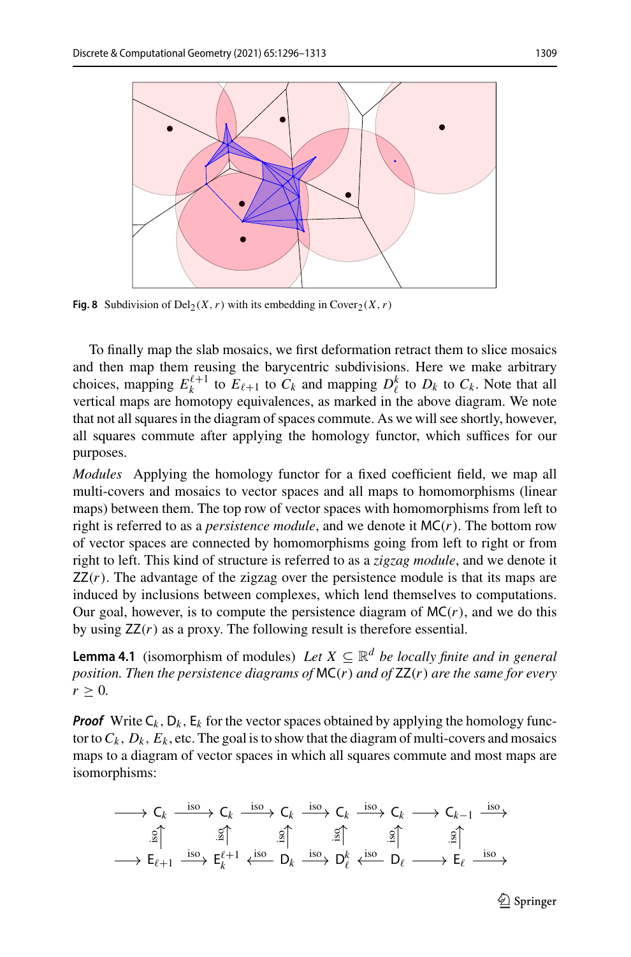

<span id="page-13-0"></span>**Fig. 8** Subdivision of Del<sub>2</sub>(*X*, *r*) with its embedding in Cover<sub>2</sub>(*X*, *r*)

To finally map the slab mosaics, we first deformation retract them to slice mosaics and then map them reusing the barycentric subdivisions. Here we make arbitrary choices, mapping  $E_k^{\ell+1}$  to  $E_{\ell+1}$  to  $C_k$  and mapping  $D_\ell^k$  to  $D_k$  to  $C_k$ . Note that all vertical maps are homotopy equivalences, as marked in the above diagram. We note that not all squares in the diagram of spaces commute. As we will see shortly, however, all squares commute after applying the homology functor, which suffices for our purposes.

*Modules* Applying the homology functor for a fixed coefficient field, we map all multi-covers and mosaics to vector spaces and all maps to homomorphisms (linear maps) between them. The top row of vector spaces with homomorphisms from left to right is referred to as a *persistence module*, and we denote it MC(*r*). The bottom row of vector spaces are connected by homomorphisms going from left to right or from right to left. This kind of structure is referred to as a *zigzag module*, and we denote it  $ZZ(r)$ . The advantage of the zigzag over the persistence module is that its maps are induced by inclusions between complexes, which lend themselves to computations. Our goal, however, is to compute the persistence diagram of  $MC(r)$ , and we do this by using ZZ(*r*) as a proxy. The following result is therefore essential.

**Lemma 4.1** (isomorphism of modules) *Let*  $X \subseteq \mathbb{R}^d$  *be locally finite and in general position. Then the persistence diagrams of* MC(*r*) *and of* ZZ(*r*) *are the same for every*  $r > 0$ .

*Proof* Write  $C_k$ ,  $D_k$ ,  $E_k$  for the vector spaces obtained by applying the homology functor to  $C_k$ ,  $D_k$ ,  $E_k$ , etc. The goal is to show that the diagram of multi-covers and mosaics maps to a diagram of vector spaces in which all squares commute and most maps are isomorphisms:

$$
\begin{array}{c}\n\longrightarrow C_k \xrightarrow{\text{iso}} C_k \xrightarrow{\text{iso}} C_k \xrightarrow{\text{iso}} C_k \xrightarrow{\text{iso}} C_k \longrightarrow C_{k-1} \xrightarrow{\text{iso}} \\
\stackrel{\circ}{\approx} \uparrow \qquad \stackrel{\circ}{\approx} \uparrow \qquad \stackrel{\circ}{\approx} \uparrow \qquad \stackrel{\circ}{\approx} \uparrow \qquad \stackrel{\circ}{\approx} \uparrow \qquad \stackrel{\circ}{\approx} \uparrow \\
\longrightarrow E_{\ell+1} \xrightarrow{\text{iso}} E_{k}^{\ell+1} \xleftarrow{\text{iso}} D_k \xrightarrow{\text{iso}} D_k^{\ell} \xleftarrow{\text{iso}} D_\ell \longrightarrow E_\ell \xrightarrow{\text{iso}}\n\end{array}
$$

 $\mathcal{D}$  Springer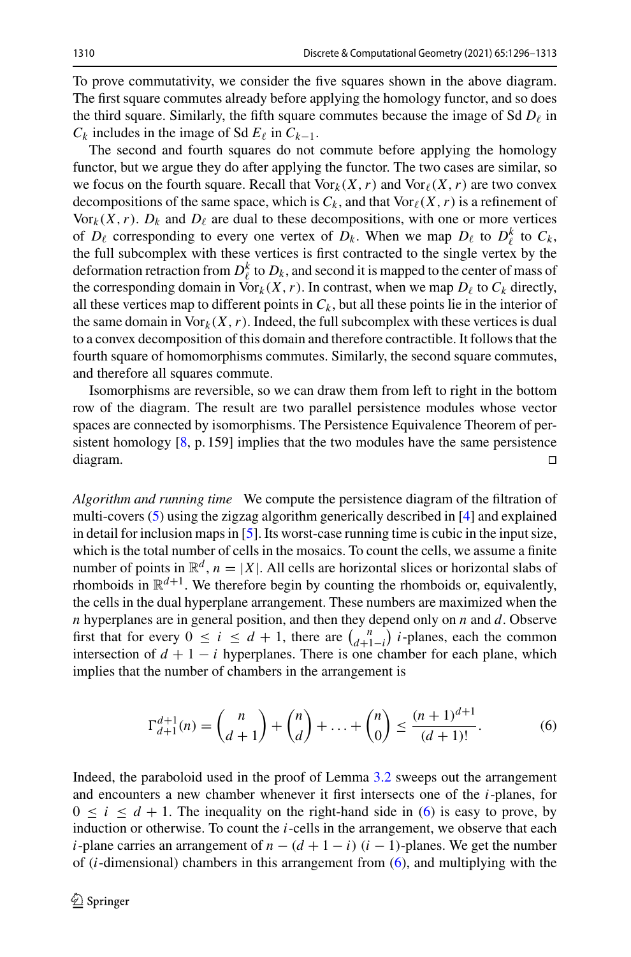To prove commutativity, we consider the five squares shown in the above diagram. The first square commutes already before applying the homology functor, and so does the third square. Similarly, the fifth square commutes because the image of Sd  $D_{\ell}$  in  $C_k$  includes in the image of Sd  $E_\ell$  in  $C_{k-1}$ .

The second and fourth squares do not commute before applying the homology functor, but we argue they do after applying the functor. The two cases are similar, so we focus on the fourth square. Recall that  $\text{Vor}_k(X, r)$  and  $\text{Vor}_\ell(X, r)$  are two convex decompositions of the same space, which is  $C_k$ , and that  $\text{Vor}_{\ell}(X,r)$  is a refinement of  $\text{Vor}_k(X, r)$ .  $D_k$  and  $D_\ell$  are dual to these decompositions, with one or more vertices of  $D_{\ell}$  corresponding to every one vertex of  $D_{k}$ . When we map  $D_{\ell}$  to  $D_{\ell}^{k}$  to  $C_{k}$ , the full subcomplex with these vertices is first contracted to the single vertex by the deformation retraction from  $D_{\ell}^{k}$  to  $D_{k}$ , and second it is mapped to the center of mass of the corresponding domain in  $\text{Vor}_k(X, r)$ . In contrast, when we map  $D_\ell$  to  $C_k$  directly, all these vertices map to different points in  $C_k$ , but all these points lie in the interior of the same domain in  $\text{Vor}_k(X, r)$ . Indeed, the full subcomplex with these vertices is dual to a convex decomposition of this domain and therefore contractible. It follows that the fourth square of homomorphisms commutes. Similarly, the second square commutes, and therefore all squares commute.

Isomorphisms are reversible, so we can draw them from left to right in the bottom row of the diagram. The result are two parallel persistence modules whose vector spaces are connected by isomorphisms. The Persistence Equivalence Theorem of persistent homology  $[8, p. 159]$  $[8, p. 159]$  implies that the two modules have the same persistence diagram.

*Algorithm and running time* We compute the persistence diagram of the filtration of multi-covers [\(5\)](#page-6-1) using the zigzag algorithm generically described in [\[4\]](#page-16-2) and explained in detail for inclusion maps in [\[5\]](#page-16-3). Its worst-case running time is cubic in the input size, which is the total number of cells in the mosaics. To count the cells, we assume a finite number of points in  $\mathbb{R}^d$ ,  $n = |X|$ . All cells are horizontal slices or horizontal slabs of rhomboids in  $\mathbb{R}^{d+1}$ . We therefore begin by counting the rhomboids or, equivalently, the cells in the dual hyperplane arrangement. These numbers are maximized when the *n* hyperplanes are in general position, and then they depend only on *n* and *d*. Observe first that for every  $0 \le i \le d+1$ , there are  $\binom{n}{d+1-i}$  *i*-planes, each the common intersection of  $d + 1 - i$  hyperplanes. There is one chamber for each plane, which implies that the number of chambers in the arrangement is

<span id="page-14-0"></span>
$$
\Gamma_{d+1}^{d+1}(n) = \binom{n}{d+1} + \binom{n}{d} + \ldots + \binom{n}{0} \le \frac{(n+1)^{d+1}}{(d+1)!}.\tag{6}
$$

Indeed, the paraboloid used in the proof of Lemma [3.2](#page-8-1) sweeps out the arrangement and encounters a new chamber whenever it first intersects one of the *i*-planes, for  $0 \le i \le d + 1$ . The inequality on the right-hand side in [\(6\)](#page-14-0) is easy to prove, by induction or otherwise. To count the *i*-cells in the arrangement, we observe that each *i*-plane carries an arrangement of  $n - (d + 1 - i)$  (*i* − 1)-planes. We get the number of (*i*-dimensional) chambers in this arrangement from [\(6\)](#page-14-0), and multiplying with the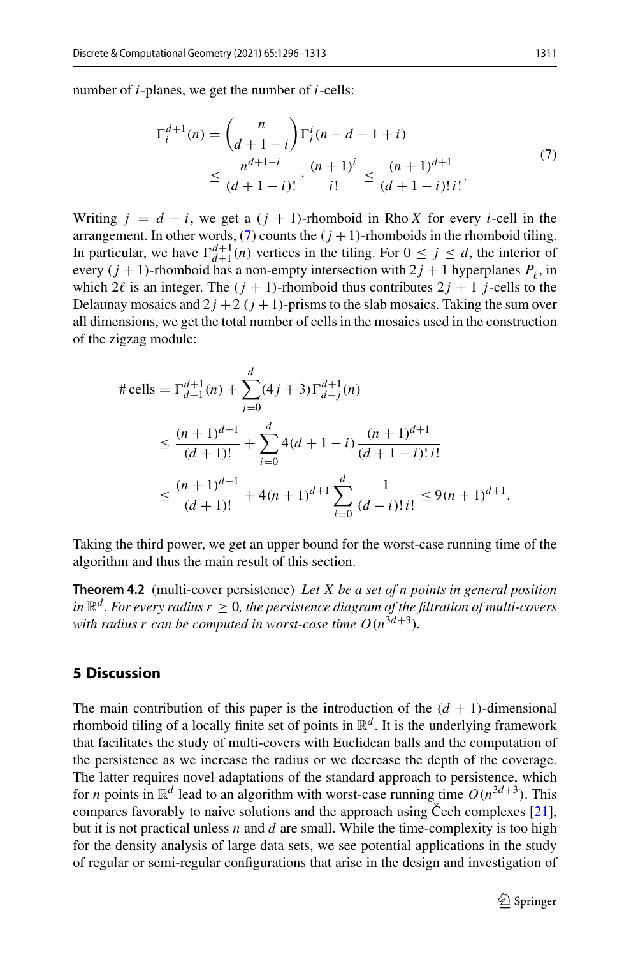number of *i*-planes, we get the number of *i*-cells:

<span id="page-15-1"></span>
$$
\Gamma_i^{d+1}(n) = {n \choose d+1-i} \Gamma_i^i (n-d-1+i)
$$
  
 
$$
\leq \frac{n^{d+1-i}}{(d+1-i)!} \cdot \frac{(n+1)^i}{i!} \leq \frac{(n+1)^{d+1}}{(d+1-i)!i!}.
$$
 (7)

Writing  $j = d - i$ , we get a  $(j + 1)$ -rhomboid in Rho X for every *i*-cell in the arrangement. In other words,  $(7)$  counts the  $(j + 1)$ -rhomboids in the rhomboid tiling. In particular, we have  $\Gamma_{d+1}^{d+1}(n)$  vertices in the tiling. For  $0 \le j \le d$ , the interior of every  $(j + 1)$ -rhomboid has a non-empty intersection with  $2j + 1$  hyperplanes  $P_{\ell}$ , in which 2 $\ell$  is an integer. The  $(j + 1)$ -rhomboid thus contributes  $2j + 1$  *j*-cells to the Delaunay mosaics and  $2j + 2$  ( $j + 1$ )-prisms to the slab mosaics. Taking the sum over all dimensions, we get the total number of cells in the mosaics used in the construction of the zigzag module:

$$
\begin{split} \n\#\text{cells} &= \Gamma_{d+1}^{d+1}(n) + \sum_{j=0}^{d} (4j+3) \Gamma_{d-j}^{d+1}(n) \\ \n&\leq \frac{(n+1)^{d+1}}{(d+1)!} + \sum_{i=0}^{d} 4(d+1-i) \frac{(n+1)^{d+1}}{(d+1-i)!i!} \\ \n&\leq \frac{(n+1)^{d+1}}{(d+1)!} + 4(n+1)^{d+1} \sum_{i=0}^{d} \frac{1}{(d-i)!i!} \leq 9(n+1)^{d+1} .\n\end{split}
$$

<span id="page-15-2"></span>Taking the third power, we get an upper bound for the worst-case running time of the algorithm and thus the main result of this section.

**Theorem 4.2** (multi-cover persistence) *Let X be a set of n points in general position in*  $\mathbb{R}^d$ *. For every radius r*  $\geq$  0*, the persistence diagram of the filtration of multi-covers with radius r can be computed in worst-case time*  $O(n^{3d+3})$ *.* 

#### <span id="page-15-0"></span>**5 Discussion**

The main contribution of this paper is the introduction of the  $(d + 1)$ -dimensional rhomboid tiling of a locally finite set of points in  $\mathbb{R}^d$ . It is the underlying framework that facilitates the study of multi-covers with Euclidean balls and the computation of the persistence as we increase the radius or we decrease the depth of the coverage. The latter requires novel adaptations of the standard approach to persistence, which for *n* points in  $\mathbb{R}^d$  lead to an algorithm with worst-case running time  $O(n^{3d+3})$ . This compares favorably to naive solutions and the approach using Čech complexes  $[21]$  $[21]$  $[21]$ , but it is not practical unless *n* and *d* are small. While the time-complexity is too high for the density analysis of large data sets, we see potential applications in the study of regular or semi-regular configurations that arise in the design and investigation of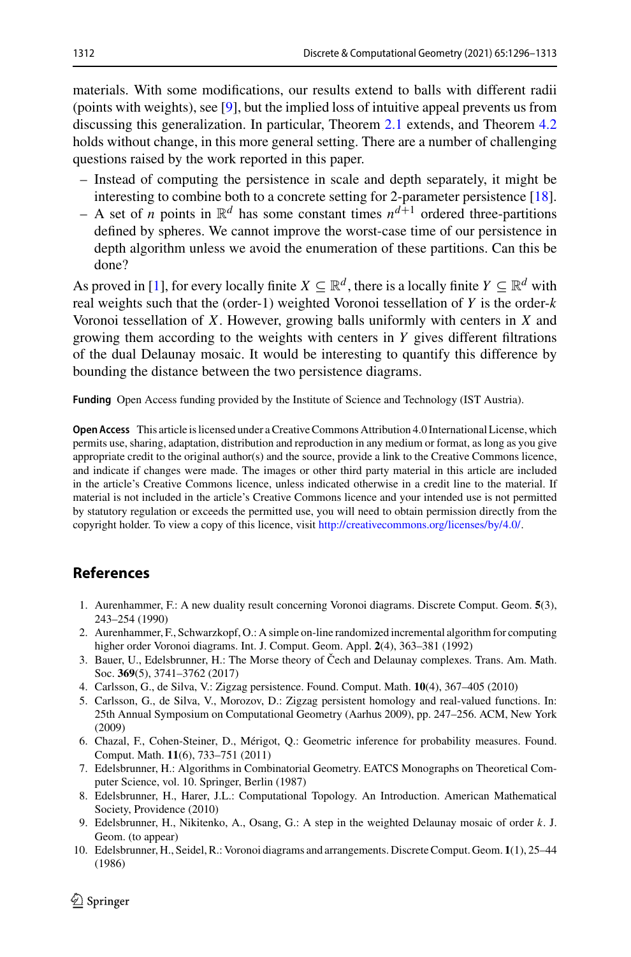materials. With some modifications, our results extend to balls with different radii (points with weights), see [\[9](#page-16-9)], but the implied loss of intuitive appeal prevents us from discussing this generalization. In particular, Theorem [2.1](#page-2-1) extends, and Theorem [4.2](#page-15-2) holds without change, in this more general setting. There are a number of challenging questions raised by the work reported in this paper.

- Instead of computing the persistence in scale and depth separately, it might be interesting to combine both to a concrete setting for 2-parameter persistence [\[18](#page-17-10)].
- A set of *n* points in  $\mathbb{R}^d$  has some constant times  $n^{d+1}$  ordered three-partitions defined by spheres. We cannot improve the worst-case time of our persistence in depth algorithm unless we avoid the enumeration of these partitions. Can this be done?

As proved in [\[1\]](#page-16-6), for every locally finite  $X \subseteq \mathbb{R}^d$ , there is a locally finite  $Y \subseteq \mathbb{R}^d$  with real weights such that the (order-1) weighted Voronoi tessellation of *Y* is the order-*k* Voronoi tessellation of *X*. However, growing balls uniformly with centers in *X* and growing them according to the weights with centers in *Y* gives different filtrations of the dual Delaunay mosaic. It would be interesting to quantify this difference by bounding the distance between the two persistence diagrams.

**Funding** Open Access funding provided by the Institute of Science and Technology (IST Austria).

**Open Access** This article is licensed under a Creative Commons Attribution 4.0 International License, which permits use, sharing, adaptation, distribution and reproduction in any medium or format, as long as you give appropriate credit to the original author(s) and the source, provide a link to the Creative Commons licence, and indicate if changes were made. The images or other third party material in this article are included in the article's Creative Commons licence, unless indicated otherwise in a credit line to the material. If material is not included in the article's Creative Commons licence and your intended use is not permitted by statutory regulation or exceeds the permitted use, you will need to obtain permission directly from the copyright holder. To view a copy of this licence, visit [http://creativecommons.org/licenses/by/4.0/.](http://creativecommons.org/licenses/by/4.0/)

## **References**

- <span id="page-16-6"></span>1. Aurenhammer, F.: A new duality result concerning Voronoi diagrams. Discrete Comput. Geom. **5**(3), 243–254 (1990)
- <span id="page-16-1"></span>2. Aurenhammer, F., Schwarzkopf, O.: A simple on-line randomized incremental algorithm for computing higher order Voronoi diagrams. Int. J. Comput. Geom. Appl. **2**(4), 363–381 (1992)
- <span id="page-16-8"></span>3. Bauer, U., Edelsbrunner, H.: The Morse theory of Cech and Delaunay complexes. Trans. Am. Math. ˇ Soc. **369**(5), 3741–3762 (2017)
- <span id="page-16-2"></span>4. Carlsson, G., de Silva, V.: Zigzag persistence. Found. Comput. Math. **10**(4), 367–405 (2010)
- <span id="page-16-3"></span>5. Carlsson, G., de Silva, V., Morozov, D.: Zigzag persistent homology and real-valued functions. In: 25th Annual Symposium on Computational Geometry (Aarhus 2009), pp. 247–256. ACM, New York (2009)
- <span id="page-16-0"></span>6. Chazal, F., Cohen-Steiner, D., Mérigot, Q.: Geometric inference for probability measures. Found. Comput. Math. **11**(6), 733–751 (2011)
- <span id="page-16-4"></span>7. Edelsbrunner, H.: Algorithms in Combinatorial Geometry. EATCS Monographs on Theoretical Computer Science, vol. 10. Springer, Berlin (1987)
- <span id="page-16-7"></span>8. Edelsbrunner, H., Harer, J.L.: Computational Topology. An Introduction. American Mathematical Society, Providence (2010)
- <span id="page-16-9"></span>9. Edelsbrunner, H., Nikitenko, A., Osang, G.: A step in the weighted Delaunay mosaic of order *k*. J. Geom. (to appear)
- <span id="page-16-5"></span>10. Edelsbrunner, H., Seidel, R.: Voronoi diagrams and arrangements. Discrete Comput. Geom. **1**(1), 25–44 (1986)